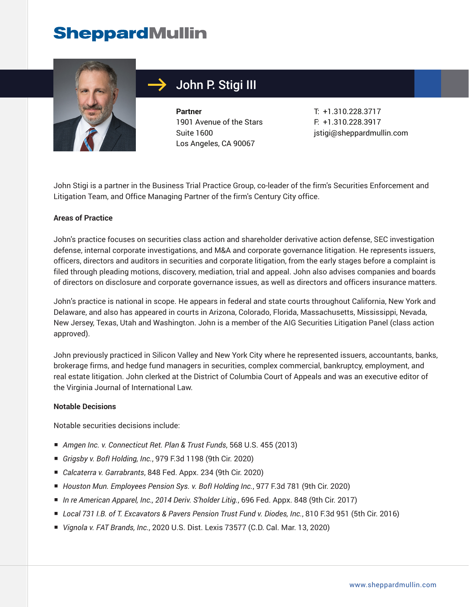

# John P. Stigi III

**Partner** 1901 Avenue of the Stars Suite 1600 Los Angeles, CA 90067

T: +1.310.228.3717 F: +1.310.228.3917 jstigi@sheppardmullin.com

John Stigi is a partner in the Business Trial Practice Group, co-leader of the firm's Securities Enforcement and Litigation Team, and Office Managing Partner of the firm's Century City office.

### **Areas of Practice**

John's practice focuses on securities class action and shareholder derivative action defense, SEC investigation defense, internal corporate investigations, and M&A and corporate governance litigation. He represents issuers, officers, directors and auditors in securities and corporate litigation, from the early stages before a complaint is filed through pleading motions, discovery, mediation, trial and appeal. John also advises companies and boards of directors on disclosure and corporate governance issues, as well as directors and officers insurance matters.

John's practice is national in scope. He appears in federal and state courts throughout California, New York and Delaware, and also has appeared in courts in Arizona, Colorado, Florida, Massachusetts, Mississippi, Nevada, New Jersey, Texas, Utah and Washington. John is a member of the AIG Securities Litigation Panel (class action approved).

John previously practiced in Silicon Valley and New York City where he represented issuers, accountants, banks, brokerage firms, and hedge fund managers in securities, complex commercial, bankruptcy, employment, and real estate litigation. John clerked at the District of Columbia Court of Appeals and was an executive editor of the Virginia Journal of International Law.

#### **Notable Decisions**

Notable securities decisions include:

- *Amgen Inc. v. Connecticut Ret. Plan & Trust Funds*, 568 U.S. 455 (2013)
- *Grigsby v. BofI Holding, Inc.*, 979 F.3d 1198 (9th Cir. 2020)
- *Calcaterra v. Garrabrants*, 848 Fed. Appx. 234 (9th Cir. 2020)
- *Houston Mun. Employees Pension Sys. v. Bofl Holding Inc.*, 977 F.3d 781 (9th Cir. 2020)
- *In re American Apparel, Inc., 2014 Deriv. S'holder Litig.*, 696 Fed. Appx. 848 (9th Cir. 2017)
- *Local 731 I.B. of T. Excavators & Pavers Pension Trust Fund v. Diodes, Inc.*, 810 F.3d 951 (5th Cir. 2016)
- *Vignola v. FAT Brands, Inc.*, 2020 U.S. Dist. Lexis 73577 (C.D. Cal. Mar. 13, 2020)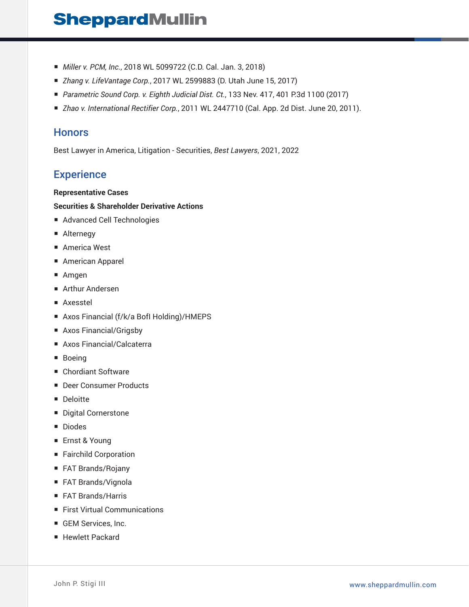- *Miller v. PCM, Inc.*, 2018 WL 5099722 (C.D. Cal. Jan. 3, 2018)
- *Zhang v. LifeVantage Corp.*, 2017 WL 2599883 (D. Utah June 15, 2017)
- *Parametric Sound Corp. v. Eighth Judicial Dist. Ct.*, 133 Nev. 417, 401 P.3d 1100 (2017)
- *Zhao v. International Rectifier Corp.*, 2011 WL 2447710 (Cal. App. 2d Dist. June 20, 2011).

### **Honors**

Best Lawyer in America, Litigation - Securities, *Best Lawyers*, 2021, 2022

### **Experience**

#### **Representative Cases**

#### **Securities & Shareholder Derivative Actions**

- Advanced Cell Technologies
- Alternegy
- America West
- American Apparel
- Amgen
- Arthur Andersen
- Axesstel
- Axos Financial (f/k/a Bofl Holding)/HMEPS
- Axos Financial/Grigsby
- Axos Financial/Calcaterra
- Boeing
- Chordiant Software
- Deer Consumer Products
- Deloitte
- Digital Cornerstone
- Diodes
- Ernst & Young
- Fairchild Corporation
- FAT Brands/Rojany
- FAT Brands/Vignola
- FAT Brands/Harris
- First Virtual Communications
- GEM Services, Inc.
- Hewlett Packard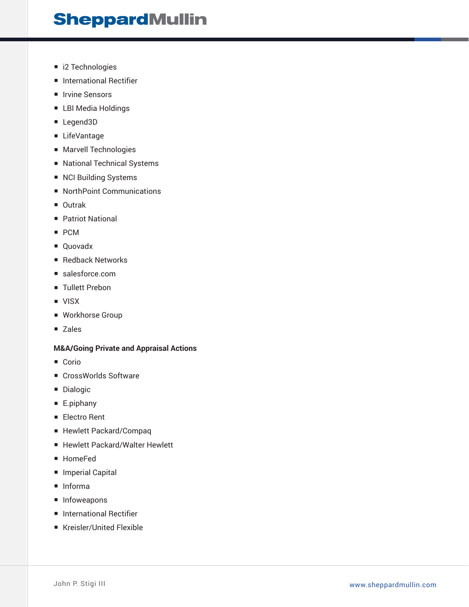- i2 Technologies
- International Rectifier
- Irvine Sensors
- LBI Media Holdings
- Legend3D
- LifeVantage
- Marvell Technologies
- National Technical Systems
- NCI Building Systems
- NorthPoint Communications
- Outrak
- Patriot National
- PCM
- Quovadx
- Redback Networks
- salesforce.com
- Tullett Prebon
- VISX
- Workhorse Group
- Zales

### **M&A/Going Private and Appraisal Actions**

- Corio
- CrossWorlds Software
- Dialogic
- E.piphany
- Electro Rent
- Hewlett Packard/Compaq
- Hewlett Packard/Walter Hewlett
- HomeFed
- Imperial Capital
- Informa
- Infoweapons
- International Rectifier
- Kreisler/United Flexible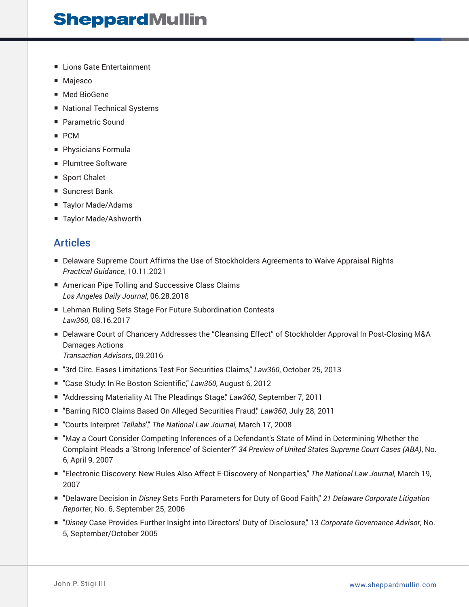- Lions Gate Entertainment
- Majesco
- Med BioGene
- National Technical Systems
- Parametric Sound
- PCM
- Physicians Formula
- Plumtree Software
- Sport Chalet
- Suncrest Bank
- Taylor Made/Adams
- Taylor Made/Ashworth

### **Articles**

- Delaware Supreme Court Affirms the Use of Stockholders Agreements to Waive Appraisal Rights *Practical Guidance*, 10.11.2021
- American Pipe Tolling and Successive Class Claims *Los Angeles Daily Journal*, 06.28.2018
- Lehman Ruling Sets Stage For Future Subordination Contests *Law360*, 08.16.2017
- Delaware Court of Chancery Addresses the "Cleansing Effect" of Stockholder Approval In Post-Closing M&A Damages Actions *Transaction Advisors*, 09.2016
- 
- "3rd Circ. Eases Limitations Test For Securities Claims," *Law360*, October 25, 2013
- "Case Study: In Re Boston Scientific," Law360, August 6, 2012
- "Addressing Materiality At The Pleadings Stage," Law360, September 7, 2011
- "Barring RICO Claims Based On Alleged Securities Fraud," Law360, July 28, 2011
- "Courts Interpret '*Tellabs',*" The National Law Journal, March 17, 2008
- "May a Court Consider Competing Inferences of a Defendant's State of Mind in Determining Whether the Complaint Pleads a 'Strong Inference' of Scienter?" *34 Preview of United States Supreme Court Cases (ABA)*, No. 6, April 9, 2007
- "Electronic Discovery: New Rules Also Affect E-Discovery of Nonparties," The National Law Journal, March 19, 2007
- "Delaware Decision in *Disney* Sets Forth Parameters for Duty of Good Faith," *21 Delaware Corporate Litigation Reporter*, No. 6, September 25, 2006
- *"Disney* Case Provides Further Insight into Directors' Duty of Disclosure," 13 Corporate Governance Advisor, No. 5, September/October 2005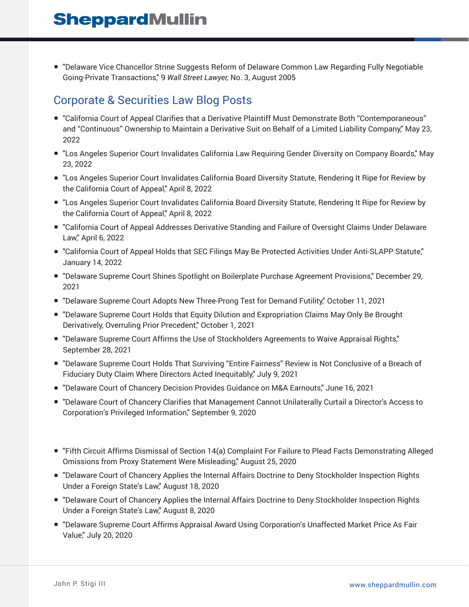■ "Delaware Vice Chancellor Strine Suggests Reform of Delaware Common Law Regarding Fully Negotiable Going-Private Transactions," 9 *Wall Street Lawyer,* No. 3, August 2005

# Corporate & Securities Law Blog Posts

- "California Court of Appeal Clarifies that a Derivative Plaintiff Must Demonstrate Both "Contemporaneous" and "Continuous" Ownership to Maintain a Derivative Suit on Behalf of a Limited Liability Company," May 23, 2022
- "Los Angeles Superior Court Invalidates California Law Requiring Gender Diversity on Company Boards," May 23, 2022
- "Los Angeles Superior Court Invalidates California Board Diversity Statute, Rendering It Ripe for Review by the California Court of Appeal," April 8, 2022
- "Los Angeles Superior Court Invalidates California Board Diversity Statute, Rendering It Ripe for Review by the California Court of Appeal," April 8, 2022
- "California Court of Appeal Addresses Derivative Standing and Failure of Oversight Claims Under Delaware Law," April 6, 2022
- "California Court of Appeal Holds that SEC Filings May Be Protected Activities Under Anti-SLAPP Statute," January 14, 2022
- "Delaware Supreme Court Shines Spotlight on Boilerplate Purchase Agreement Provisions," December 29, 2021
- "Delaware Supreme Court Adopts New Three-Prong Test for Demand Futility," October 11, 2021
- "Delaware Supreme Court Holds that Equity Dilution and Expropriation Claims May Only Be Brought Derivatively, Overruling Prior Precedent," October 1, 2021
- "Delaware Supreme Court Affirms the Use of Stockholders Agreements to Waive Appraisal Rights," September 28, 2021
- "Delaware Supreme Court Holds That Surviving "Entire Fairness" Review is Not Conclusive of a Breach of Fiduciary Duty Claim Where Directors Acted Inequitably," July 9, 2021
- "Delaware Court of Chancery Decision Provides Guidance on M&A Earnouts," June 16, 2021
- "Delaware Court of Chancery Clarifies that Management Cannot Unilaterally Curtail a Director's Access to Corporation's Privileged Information," September 9, 2020
- "Fifth Circuit Affirms Dismissal of Section 14(a) Complaint For Failure to Plead Facts Demonstrating Alleged Omissions from Proxy Statement Were Misleading," August 25, 2020
- "Delaware Court of Chancery Applies the Internal Affairs Doctrine to Deny Stockholder Inspection Rights Under a Foreign State's Law," August 18, 2020
- "Delaware Court of Chancery Applies the Internal Affairs Doctrine to Deny Stockholder Inspection Rights Under a Foreign State's Law," August 8, 2020
- "Delaware Supreme Court Affirms Appraisal Award Using Corporation's Unaffected Market Price As Fair Value," July 20, 2020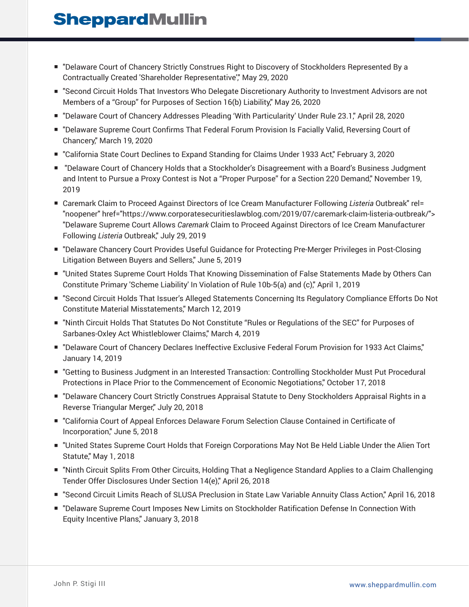- "Delaware Court of Chancery Strictly Construes Right to Discovery of Stockholders Represented By a Contractually Created 'Shareholder Representative'," May 29, 2020
- "Second Circuit Holds That Investors Who Delegate Discretionary Authority to Investment Advisors are not Members of a "Group" for Purposes of Section 16(b) Liability," May 26, 2020
- "Delaware Court of Chancery Addresses Pleading 'With Particularity' Under Rule 23.1," April 28, 2020
- "Delaware Supreme Court Confirms That Federal Forum Provision Is Facially Valid, Reversing Court of Chancery," March 19, 2020
- "California State Court Declines to Expand Standing for Claims Under 1933 Act," February 3, 2020
- "Delaware Court of Chancery Holds that a Stockholder's Disagreement with a Board's Business Judgment and Intent to Pursue a Proxy Contest is Not a "Proper Purpose" for a Section 220 Demand," November 19, 2019
- Caremark Claim to Proceed Against Directors of Ice Cream Manufacturer Following *Listeria* Outbreak" rel= "noopener" href="https://www.corporatesecuritieslawblog.com/2019/07/caremark-claim-listeria-outbreak/"> "Delaware Supreme Court Allows *Caremark* Claim to Proceed Against Directors of Ice Cream Manufacturer Following *Listeria* Outbreak," July 29, 2019
- "Delaware Chancery Court Provides Useful Guidance for Protecting Pre-Merger Privileges in Post-Closing Litigation Between Buyers and Sellers," June 5, 2019
- "United States Supreme Court Holds That Knowing Dissemination of False Statements Made by Others Can Constitute Primary 'Scheme Liability' In Violation of Rule 10b-5(a) and (c)," April 1, 2019
- "Second Circuit Holds That Issuer's Alleged Statements Concerning Its Regulatory Compliance Efforts Do Not Constitute Material Misstatements," March 12, 2019
- "Ninth Circuit Holds That Statutes Do Not Constitute "Rules or Regulations of the SEC" for Purposes of Sarbanes-Oxley Act Whistleblower Claims," March 4, 2019
- "Delaware Court of Chancery Declares Ineffective Exclusive Federal Forum Provision for 1933 Act Claims," January 14, 2019
- "Getting to Business Judgment in an Interested Transaction: Controlling Stockholder Must Put Procedural Protections in Place Prior to the Commencement of Economic Negotiations," October 17, 2018
- "Delaware Chancery Court Strictly Construes Appraisal Statute to Deny Stockholders Appraisal Rights in a Reverse Triangular Merger," July 20, 2018
- "California Court of Appeal Enforces Delaware Forum Selection Clause Contained in Certificate of Incorporation," June 5, 2018
- "United States Supreme Court Holds that Foreign Corporations May Not Be Held Liable Under the Alien Tort Statute," May 1, 2018
- "Ninth Circuit Splits From Other Circuits, Holding That a Negligence Standard Applies to a Claim Challenging Tender Offer Disclosures Under Section 14(e)," April 26, 2018
- "Second Circuit Limits Reach of SLUSA Preclusion in State Law Variable Annuity Class Action," April 16, 2018
- "Delaware Supreme Court Imposes New Limits on Stockholder Ratification Defense In Connection With Equity Incentive Plans," January 3, 2018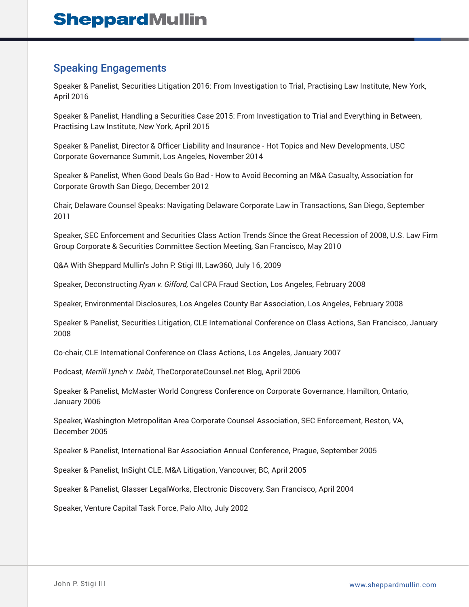## Speaking Engagements

Speaker & Panelist, Securities Litigation 2016: From Investigation to Trial, Practising Law Institute, New York, April 2016

Speaker & Panelist, Handling a Securities Case 2015: From Investigation to Trial and Everything in Between, Practising Law Institute, New York, April 2015

Speaker & Panelist, Director & Officer Liability and Insurance - Hot Topics and New Developments, USC Corporate Governance Summit, Los Angeles, November 2014

Speaker & Panelist, When Good Deals Go Bad - How to Avoid Becoming an M&A Casualty, Association for Corporate Growth San Diego, December 2012

Chair, Delaware Counsel Speaks: Navigating Delaware Corporate Law in Transactions, San Diego, September 2011

Speaker, SEC Enforcement and Securities Class Action Trends Since the Great Recession of 2008, U.S. Law Firm Group Corporate & Securities Committee Section Meeting, San Francisco, May 2010

Q&A With Sheppard Mullin's John P. Stigi III, Law360, July 16, 2009

Speaker, Deconstructing *Ryan v. Gifford,* Cal CPA Fraud Section, Los Angeles, February 2008

Speaker, Environmental Disclosures, Los Angeles County Bar Association, Los Angeles, February 2008

Speaker & Panelist, Securities Litigation, CLE International Conference on Class Actions, San Francisco, January 2008

Co-chair, CLE International Conference on Class Actions, Los Angeles, January 2007

Podcast, *Merrill Lynch v. Dabit*, TheCorporateCounsel.net Blog, April 2006

Speaker & Panelist, McMaster World Congress Conference on Corporate Governance, Hamilton, Ontario, January 2006

Speaker, Washington Metropolitan Area Corporate Counsel Association, SEC Enforcement, Reston, VA, December 2005

Speaker & Panelist, International Bar Association Annual Conference, Prague, September 2005

Speaker & Panelist, InSight CLE, M&A Litigation, Vancouver, BC, April 2005

Speaker & Panelist, Glasser LegalWorks, Electronic Discovery, San Francisco, April 2004

Speaker, Venture Capital Task Force, Palo Alto, July 2002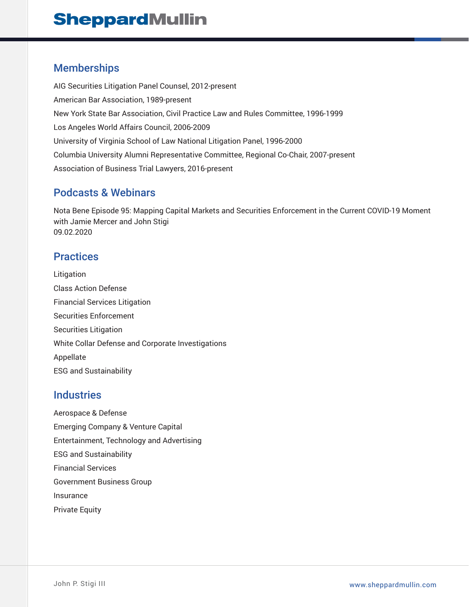### Memberships

AIG Securities Litigation Panel Counsel, 2012-present American Bar Association, 1989-present New York State Bar Association, Civil Practice Law and Rules Committee, 1996-1999 Los Angeles World Affairs Council, 2006-2009 University of Virginia School of Law National Litigation Panel, 1996-2000 Columbia University Alumni Representative Committee, Regional Co-Chair, 2007-present Association of Business Trial Lawyers, 2016-present

## Podcasts & Webinars

Nota Bene Episode 95: Mapping Capital Markets and Securities Enforcement in the Current COVID-19 Moment with Jamie Mercer and John Stigi 09.02.2020

## **Practices**

Litigation Class Action Defense Financial Services Litigation Securities Enforcement Securities Litigation White Collar Defense and Corporate Investigations Appellate ESG and Sustainability

### **Industries**

Aerospace & Defense Emerging Company & Venture Capital Entertainment, Technology and Advertising ESG and Sustainability Financial Services Government Business Group Insurance Private Equity